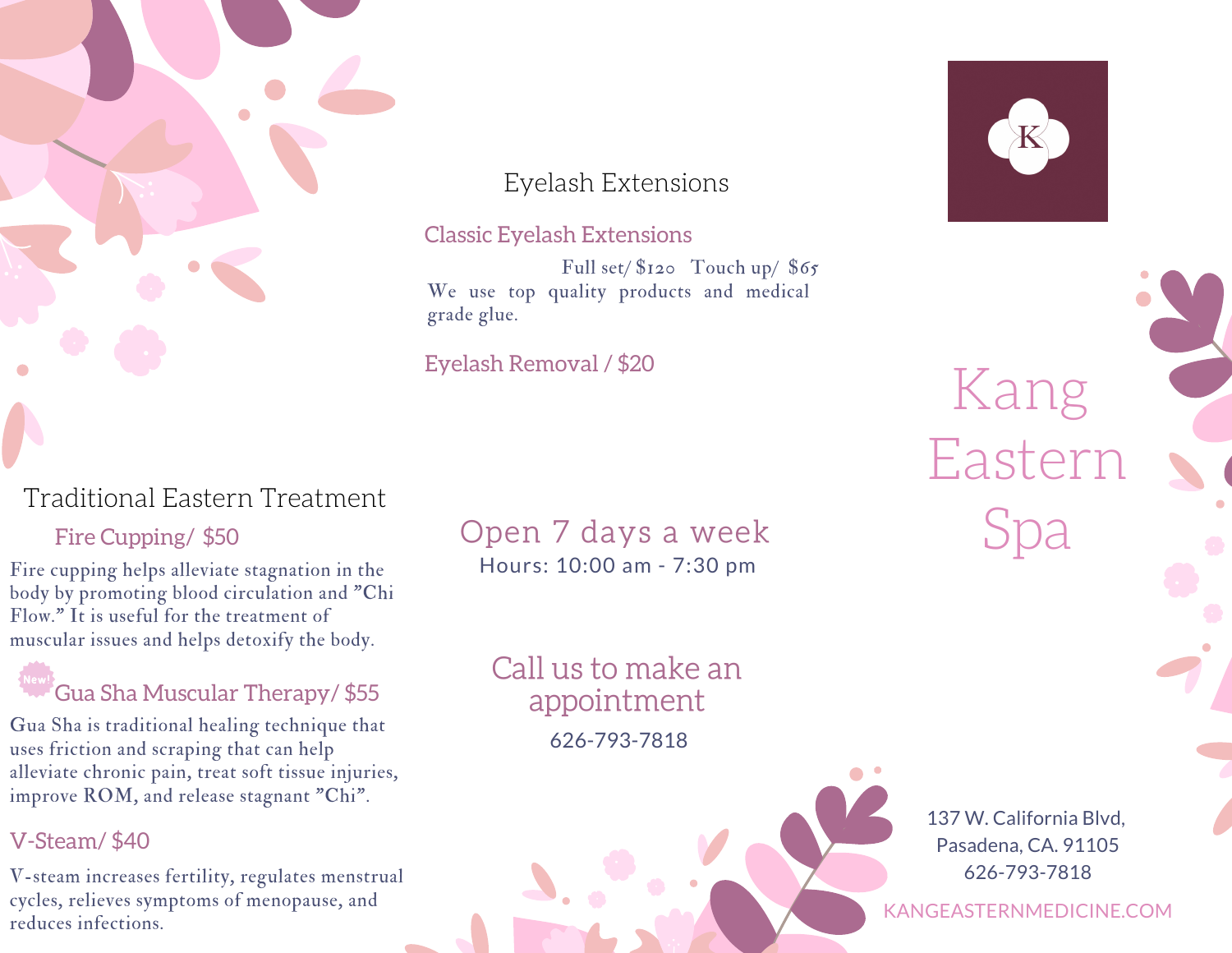

## Eyelash Extensions

### Classic Eyelash Extensions

Full set/ $$120$  Touch up/ $$65$ We use top quality products and medical grade glue.

## Eyelash Removal / \$20



## Traditional Eastern Treatment

Fire cupping helps alleviate stagnation in the body by promoting blood circulation and "Chi Flow." It is useful for the treatment of muscular issues and helps detoxify the body.

## $^{\prime}$ Gua Sha Muscular Therapy/ \$55

Gua Sha is traditional healing technique that uses friction and scraping that can help alleviate chronic pain, treat soft tissue injuries, improve ROM, and release stagnant "Chi".

### V-Steam/ \$40

V-steam increases fertility, regulates menstrual cycles, relieves symptoms of menopause, and reduces infections.

## Hours: 10:00 am - 7:30 pm Fire Cupping/ \$50 Open 7 days a week

Call us to make an appointment 626-793-7818

Kang Eastern Spa

137 W. California Blvd, Pasadena, CA. 91105 626-793-7818

KANGEASTERNMEDICINE.COM